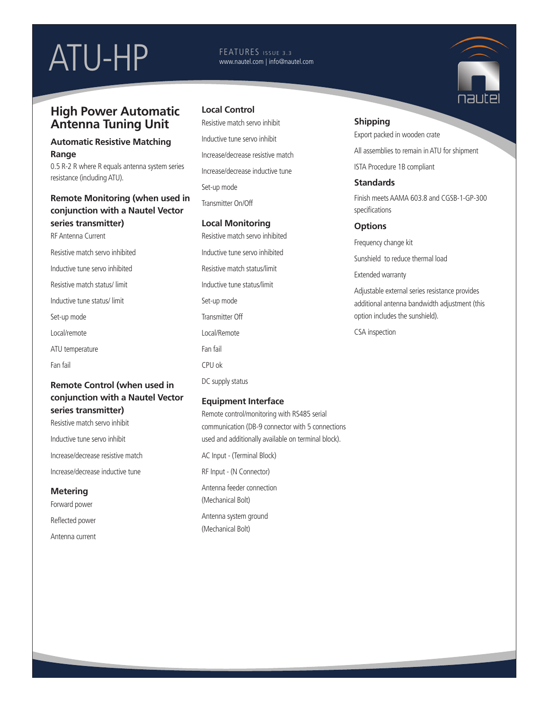# ATU-HP FEATURES ISSUE 3.3

# www.nautel.com | info@nautel.com

# **High Power Automatic Antenna Tuning Unit**

#### **Automatic Resistive Matching Range**

0.5 R-2 R where R equals antenna system series resistance (including ATU).

# **Remote Monitoring (when used in conjunction with a Nautel Vector series transmitter)**

RF Antenna Current Resistive match servo inhibited Inductive tune servo inhibited Resistive match status/ limit Inductive tune status/ limit Set-up mode Local/remote ATU temperature Fan fail

#### **Remote Control (when used in conjunction with a Nautel Vector series transmitter)**

Resistive match servo inhibit Inductive tune servo inhibit Increase/decrease resistive match Increase/decrease inductive tune

**Metering** Forward power Reflected power Antenna current

### **Local Control**

Resistive match servo inhibit Inductive tune servo inhibit Increase/decrease resistive match Increase/decrease inductive tune Set-up mode Transmitter On/Off

#### **Local Monitoring**

Resistive match servo inhibited Inductive tune servo inhibited Resistive match status/limit Inductive tune status/limit Set-up mode Transmitter Off Local/Remote Fan fail CPU ok DC supply status

#### **Equipment Interface**

Remote control/monitoring with RS485 serial communication (DB-9 connector with 5 connections used and additionally available on terminal block). AC Input - (Terminal Block) RF Input - (N Connector) Antenna feeder connection (Mechanical Bolt) Antenna system ground (Mechanical Bolt)

#### **Shipping**

Export packed in wooden crate

All assemblies to remain in ATU for shipment

ISTA Procedure 1B compliant

#### **Standards**

Finish meets AAMA 603.8 and CGSB-1-GP-300 specifications

#### **Options**

Frequency change kit

Sunshield to reduce thermal load

Extended warranty

Adjustable external series resistance provides additional antenna bandwidth adjustment (this option includes the sunshield).

CSA inspection